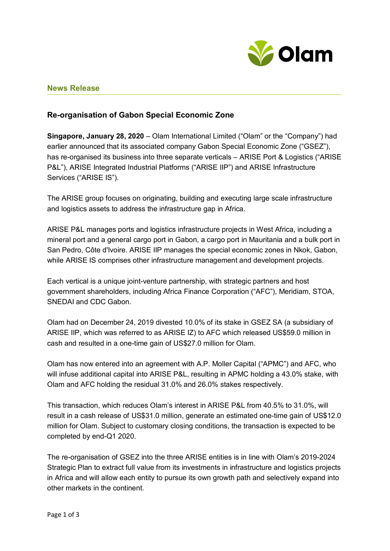

# **News Release**

## **Re-organisation of Gabon Special Economic Zone**

**Singapore, January 28, 2020** – Olam International Limited ("Olam" or the "Company") had earlier announced that its associated company Gabon Special Economic Zone ("GSEZ"), has re-organised its business into three separate verticals – ARISE Port & Logistics ("ARISE P&L"), ARISE Integrated Industrial Platforms ("ARISE IIP") and ARISE Infrastructure Services ("ARISE IS").

The ARISE group focuses on originating, building and executing large scale infrastructure and logistics assets to address the infrastructure gap in Africa.

ARISE P&L manages ports and logistics infrastructure projects in West Africa, including a mineral port and a general cargo port in Gabon, a cargo port in Mauritania and a bulk port in San Pedro, Côte d'Ivoire. ARISE IIP manages the special economic zones in Nkok, Gabon, while ARISE IS comprises other infrastructure management and development projects.

Each vertical is a unique joint-venture partnership, with strategic partners and host government shareholders, including Africa Finance Corporation ("AFC"), Meridiam, STOA, SNEDAI and CDC Gabon.

Olam had on December 24, 2019 divested 10.0% of its stake in GSEZ SA (a subsidiary of ARISE IIP, which was referred to as ARISE IZ) to AFC which released US\$59.0 million in cash and resulted in a one-time gain of US\$27.0 million for Olam.

Olam has now entered into an agreement with A.P. Moller Capital ("APMC") and AFC, who will infuse additional capital into ARISE P&L, resulting in APMC holding a 43.0% stake, with Olam and AFC holding the residual 31.0% and 26.0% stakes respectively.

This transaction, which reduces Olam's interest in ARISE P&L from 40.5% to 31.0%, will result in a cash release of US\$31.0 million, generate an estimated one-time gain of US\$12.0 million for Olam. Subject to customary closing conditions, the transaction is expected to be completed by end-Q1 2020.

The re-organisation of GSEZ into the three ARISE entities is in line with Olam's 2019-2024 Strategic Plan to extract full value from its investments in infrastructure and logistics projects in Africa and will allow each entity to pursue its own growth path and selectively expand into other markets in the continent.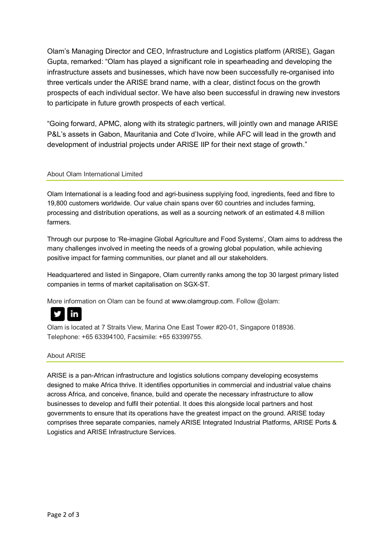Olam's Managing Director and CEO, Infrastructure and Logistics platform (ARISE), Gagan Gupta, remarked: "Olam has played a significant role in spearheading and developing the infrastructure assets and businesses, which have now been successfully re-organised into three verticals under the ARISE brand name, with a clear, distinct focus on the growth prospects of each individual sector. We have also been successful in drawing new investors to participate in future growth prospects of each vertical.

"Going forward, APMC, along with its strategic partners, will jointly own and manage ARISE P&L's assets in Gabon, Mauritania and Cote d'Ivoire, while AFC will lead in the growth and development of industrial projects under ARISE IIP for their next stage of growth."

## About Olam International Limited

Olam International is a leading food and agri-business supplying food, ingredients, feed and fibre to 19,800 customers worldwide. Our value chain spans over 60 countries and includes farming, processing and distribution operations, as well as a sourcing network of an estimated 4.8 million farmers.

Through our purpose to 'Re-imagine Global Agriculture and Food Systems', Olam aims to address the many challenges involved in meeting the needs of a growing global population, while achieving positive impact for farming communities, our planet and all our stakeholders.

Headquartered and listed in Singapore, Olam currently ranks among the top 30 largest primary listed companies in terms of market capitalisation on SGX-ST.

More information on Olam can be found at [www.olamgroup.com.](http://www.olamgroup.com/) Follow @olam:



Olam is located at 7 Straits View, Marina One East Tower #20-01, Singapore 018936. Telephone: +65 63394100, Facsimile: +65 63399755.

#### About ARISE

ARISE is a pan-African infrastructure and logistics solutions company developing ecosystems designed to make Africa thrive. It identifies opportunities in commercial and industrial value chains across Africa, and conceive, finance, build and operate the necessary infrastructure to allow businesses to develop and fulfil their potential. It does this alongside local partners and host governments to ensure that its operations have the greatest impact on the ground. ARISE today comprises three separate companies, namely ARISE Integrated Industrial Platforms, ARISE Ports & Logistics and ARISE Infrastructure Services.